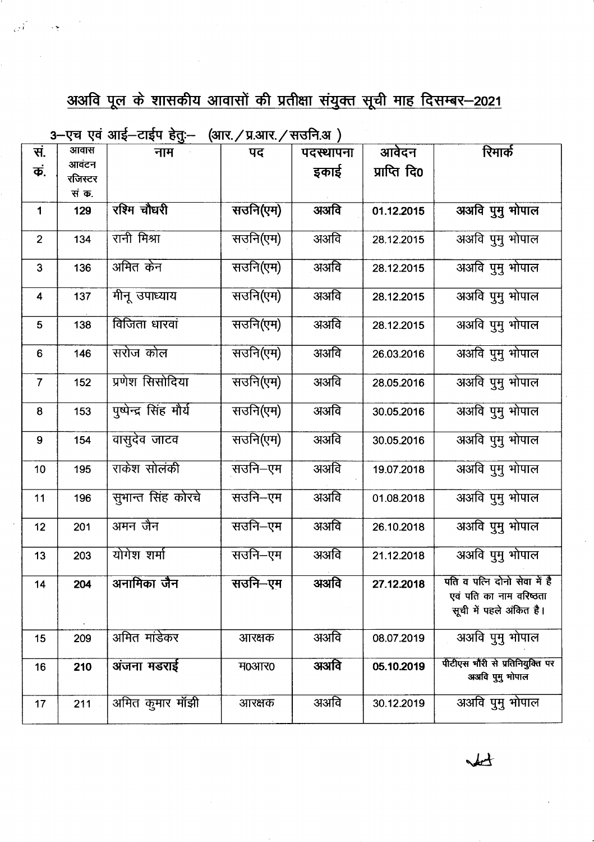## <u>अअवि पूल के शासकीय आवासों की प्रतीक्षा संयुक्त सूची माह दिसम्बर–2021</u>

 $3-$ एच एवं आई $-$ टाईप हेत:-- (आर. / प्रआर. / सतनि अ $\,$  )

|                         |         | $\lambda$ . $\lambda$ , and $\lambda$ , and $\lambda$ | $\sum_{i=1}^{n}$ |           |              |                                 |
|-------------------------|---------|-------------------------------------------------------|------------------|-----------|--------------|---------------------------------|
| सं.                     | आवास    | नाम                                                   | पद               | पदस्थापना | आवेदन        | रिमार्क                         |
| कं.                     | आवंटन   |                                                       |                  |           | प्राप्ति दि0 |                                 |
|                         | रजिस्टर |                                                       |                  | इकाई      |              |                                 |
|                         | सं क.   |                                                       |                  |           |              |                                 |
|                         |         |                                                       |                  |           |              |                                 |
| $\mathbf 1$             | 129     | रश्मि चौघरी                                           | सउनि(एम)         | अअवि      | 01.12.2015   | अअवि पुमु भोपाल                 |
|                         |         |                                                       |                  |           |              |                                 |
| $\overline{2}$          | 134     | रानी मिश्रा                                           | सउनि(एम)         | अअवि      | 28.12.2015   | अअवि पुमु भोपाल                 |
|                         |         |                                                       |                  |           |              |                                 |
|                         |         | अमित केन                                              |                  |           |              |                                 |
| 3                       | 136     |                                                       | सउनि(एम)         | अअवि      | 28.12.2015   | अअवि पुमु भोपाल                 |
|                         |         |                                                       |                  |           |              |                                 |
| $\overline{\mathbf{4}}$ | 137     | मीनू उपाध्याय                                         | सउनि(एम)         | अअवि      | 28.12.2015   | अअवि पुमु भोपाल                 |
|                         |         |                                                       |                  |           |              |                                 |
| $5\phantom{1}$          | 138     | विजिता धारवां                                         | सउनि(एम)         | अअवि      | 28.12.2015   | अअवि पुमु भोपाल                 |
|                         |         |                                                       |                  |           |              |                                 |
|                         |         |                                                       |                  |           |              |                                 |
| 6                       | 146     | सरोज कोल                                              | सउनि(एम)         | अअवि      | 26.03.2016   | अअवि पुमु भोपाल                 |
|                         |         |                                                       |                  |           |              |                                 |
| $\overline{7}$          | 152     | प्रणेश सिसोदिया                                       | सउनि(एम)         | अअवि      | 28.05.2016   | अअवि पुमु भोपाल                 |
|                         |         |                                                       |                  |           |              |                                 |
|                         |         |                                                       |                  |           |              |                                 |
| 8                       | 153     | पुष्पेन्द्र सिंह मौर्य                                | सउनि(एम)         | अअवि      | 30.05.2016   | अअवि पुमु भोपाल                 |
|                         |         |                                                       |                  |           |              |                                 |
| 9                       | 154     | वासुदेव जाटव                                          | सउनि(एम)         | अअवि      | 30.05.2016   | अअवि पुमु भोपाल                 |
|                         |         |                                                       |                  |           |              |                                 |
| 10                      | 195     | राकेश सोलंकी                                          | सउनि-एम          | अअवि      | 19.07.2018   | अअवि पुमु भोपाल                 |
|                         |         |                                                       |                  |           |              |                                 |
|                         |         |                                                       |                  |           |              |                                 |
| 11                      | 196     | सुभान्त सिंह कोरचे                                    | सउनि–एम          | अअवि      | 01.08.2018   | अअवि पुमु भोपाल                 |
|                         |         |                                                       |                  |           |              |                                 |
| 12                      | 201     | अमन जैन                                               | सउनि-एम          | अअवि      | 26.10.2018   | अअवि पुमु भोपाल                 |
|                         |         |                                                       |                  |           |              |                                 |
|                         |         | योगेश शर्मा                                           | सउनि-एम          | अअवि      |              |                                 |
| 13                      | 203     |                                                       |                  |           | 21.12.2018   | अअवि पुमु भोपाल                 |
|                         |         |                                                       |                  |           |              |                                 |
| 14                      | 204     | अनामिका जैन                                           | सउनि–एम          | अअवि      | 27.12.2018   | पति व पत्नि दोनो सेवा में है    |
|                         |         |                                                       |                  |           |              | एवं पति का नाम वरिष्ठता         |
|                         |         |                                                       |                  |           |              | सूची में पहले अंकित है।         |
|                         |         |                                                       |                  |           |              |                                 |
| 15                      | 209     | अमित मांडेकर                                          | आरक्षक           | अअवि      | 08.07.2019   | अअवि पुमु भोपाल                 |
|                         |         |                                                       |                  |           |              |                                 |
|                         |         |                                                       |                  |           |              |                                 |
| 16                      | 210     | अंजना मडराई                                           | म0आर0            | अअवि      | 05.10.2019   | पीटीएस भौरी से प्रतिनियुक्ति पर |
|                         |         |                                                       |                  |           |              | अअवि पुमु मोपाल                 |
|                         |         |                                                       |                  |           |              |                                 |
| 17                      | 211     | अमित कुमार मॉझी                                       | आरक्षक           | अअवि      | 30.12.2019   | अअवि पुमु भोपाल                 |
|                         |         |                                                       |                  |           |              |                                 |

 $#$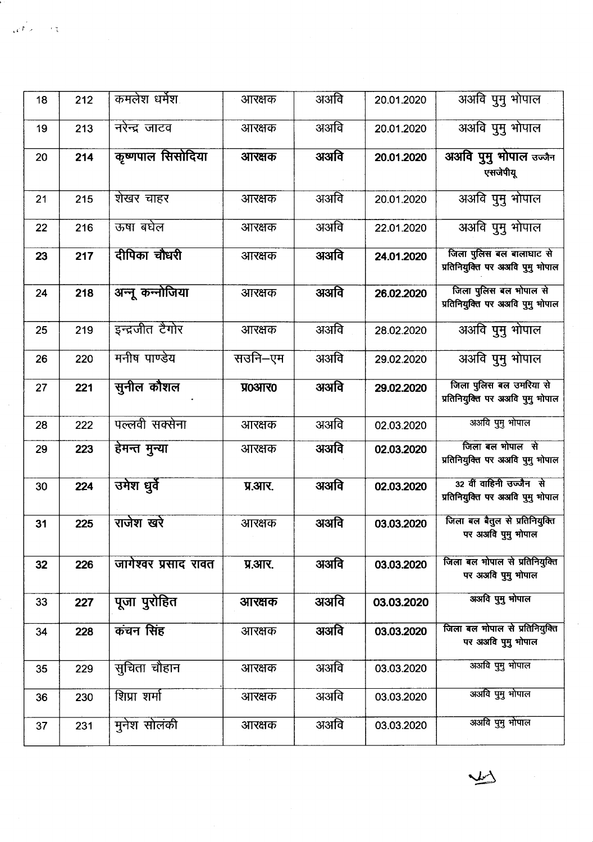| 18 | 212 | कमलेश धर्मेश         | आरक्षक  | अअवि | 20.01.2020 | अअवि पुमु भोपाल                                              |
|----|-----|----------------------|---------|------|------------|--------------------------------------------------------------|
| 19 | 213 | नरेन्द्र जाटव        | आरक्षक  | अअवि | 20.01.2020 | अअवि पुमु भोपाल                                              |
| 20 | 214 | कृष्णपाल सिसोदिया    | आरक्षक  | अअवि | 20.01.2020 | अअवि पुमु भोपाल उज्जैन<br>एसजेपीयू                           |
| 21 | 215 | शेखर चाहर            | आरक्षक  | अअवि | 20.01.2020 | अअवि पुमु भोपाल                                              |
| 22 | 216 | ऊषा बघेल             | आरक्षक  | अअवि | 22.01.2020 | अअवि पुमु भोपाल                                              |
| 23 | 217 | दीपिका चौधरी         | आरक्षक  | अअवि | 24.01.2020 | जिला पुलिस बल बालाघाट से<br>प्रतिनियुक्ति पर अअवि पुमु भोपाल |
| 24 | 218 | अन्नू कन्नोजिया      | आरक्षक  | अअवि | 26.02.2020 | जिला पुलिस बल भोपाल से<br>प्रतिनियुक्ति पर अअवि पुमु भोपाल   |
| 25 | 219 | इन्द्रजीत टैगोर      | आरक्षक  | अअवि | 28.02.2020 | अअवि पुमु भोपाल                                              |
| 26 | 220 | मनीष पाण्डेय         | सउनि–एम | अअवि | 29.02.2020 | अअवि पुमु भोपाल                                              |
| 27 | 221 | सुनील कौशल           | प्र0आर0 | अअवि | 29.02.2020 | जिला पुलिस बल उमरिया से<br>प्रतिनियुक्ति पर अअवि पुमु भोपाल  |
| 28 | 222 | पल्लवी सक्सेना       | आरक्षक  | अअवि | 02.03.2020 | अअवि पुमु भोपाल                                              |
| 29 | 223 | हेमन्त मुन्या        | आरक्षक  | अअवि | 02.03.2020 | जिला बल भोपाल से<br>प्रतिनियुक्ति पर अअवि पुमु भोपाल         |
| 30 | 224 | उमेश धुर्वे          | प्र.आर. | अअवि | 02.03.2020 | 32 वीं वाहिनी उज्जैन से<br>प्रतिनियुक्ति पर अअवि पुमु भोपाल  |
| 31 | 225 | राजेश खरे            | आरक्षक  | अअवि | 03.03.2020 | जिला बल बैतूल से प्रतिनियुक्ति<br>पर अअवि पुमु भोपाल         |
| 32 | 226 | जागेश्वर प्रसाद रावत | प्र.आर. | अअवि | 03.03.2020 | जिला बल भोपाल से प्रतिनियुक्ति<br>पर अअवि पुमु भोपाल         |
| 33 | 227 | पूजा पुरोहित         | आरक्षक  | अअवि | 03.03.2020 | अअवि पुमु भोपाल                                              |
| 34 | 228 | कंचन सिंह            | आरक्षक  | अअवि | 03.03.2020 | जिला बल मोपाल से प्रतिनियुक्ति<br>पर अअवि पुमु भोपाल         |
| 35 | 229 | सूचिता चौहान         | आरक्षक  | अअवि | 03.03.2020 | अअवि पुमु भोपाल                                              |
| 36 | 230 | शिप्रा शर्मा         | आरक्षक  | अअवि | 03.03.2020 | अअवि पुमु भोपाल                                              |
| 37 | 231 | मुनेश सोलंकी         | आरक्षक  | अअवि | 03.03.2020 | अअवि पुमु भोपाल                                              |